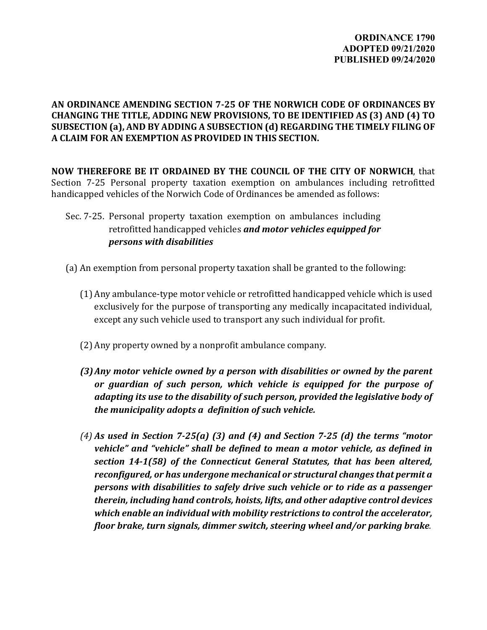## **AN ORDINANCE AMENDING SECTION 7-25 OF THE NORWICH CODE OF ORDINANCES BY CHANGING THE TITLE, ADDING NEW PROVISIONS, TO BE IDENTIFIED AS (3) AND (4) TO SUBSECTION (a), AND BY ADDING A SUBSECTION (d) REGARDING THE TIMELY FILING OF A CLAIM FOR AN EXEMPTION AS PROVIDED IN THIS SECTION.**

**NOW THEREFORE BE IT ORDAINED BY THE COUNCIL OF THE CITY OF NORWICH**, that Section 7-25 Personal property taxation exemption on ambulances including retrofitted handicapped vehicles of the Norwich Code of Ordinances be amended as follows:

- Sec. 7-25. Personal property taxation exemption on ambulances including retrofitted handicapped vehicles *and motor vehicles equipped for persons with disabilities*
- (a) An exemption from personal property taxation shall be granted to the following:
	- (1) Any ambulance-type motor vehicle or retrofitted handicapped vehicle which is used exclusively for the purpose of transporting any medically incapacitated individual, except any such vehicle used to transport any such individual for profit.
	- (2) Any property owned by a nonprofit ambulance company.
	- *(3)Any motor vehicle owned by a person with disabilities or owned by the parent or guardian of such person, which vehicle is equipped for the purpose of adapting its use to the disability of such person, provided the legislative body of the municipality adopts a definition of such vehicle.*
	- *(4) As used in Section 7-25(a) (3) and (4) and Section 7-25 (d) the terms "motor vehicle" and "vehicle" shall be defined to mean a motor vehicle, as defined in section 14-1(58) of the Connecticut General Statutes, that has been altered, reconfigured, or has undergone mechanical or structural changes that permit a persons with disabilities to safely drive such vehicle or to ride as a passenger therein, including hand controls, hoists, lifts, and other adaptive control devices which enable an individual with mobility restrictions to control the accelerator, floor brake, turn signals, dimmer switch, steering wheel and/or parking brake.*